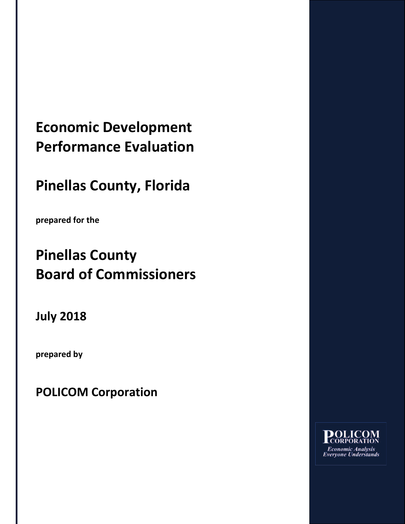## **Economic Development Performance Evaluation**

## **Pinellas County, Florida**

**prepared for the**

# **Pinellas County Board of Commissioners**

**July 2018**

**prepared by**

**POLICOM Corporation**

**DOLICOM**<br>CORPORATION **Economic Analysis Everyone Understands**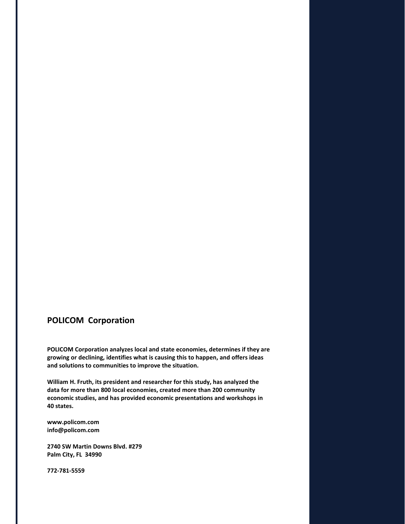### **POLICOM Corporation**

**POLICOM Corporation analyzes local and state economies, determines if they are growing or declining, identifies what is causing this to happen, and offers ideas and solutions to communities to improve the situation.**

**William H. Fruth, its president and researcher for this study, has analyzed the data for more than 800 local economies, created more than 200 community economic studies, and has provided economic presentations and workshops in 40 states.**

**www.policom.com info@policom.com**

**2740 SW Martin Downs Blvd. #279 Palm City, FL 34990**

**772-781-5559**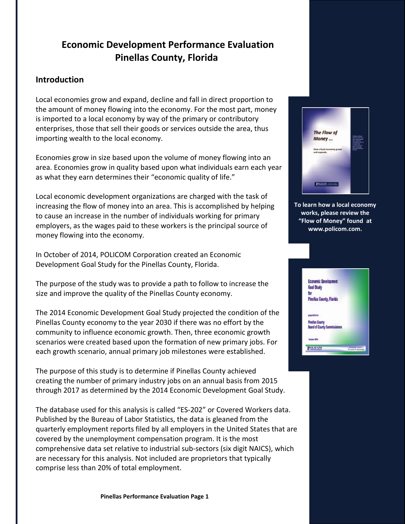### **Economic Development Performance Evaluation Pinellas County, Florida**

### **Introduction**

Local economies grow and expand, decline and fall in direct proportion to the amount of money flowing into the economy. For the most part, money is imported to a local economy by way of the primary or contributory enterprises, those that sell their goods or services outside the area, thus importing wealth to the local economy.

Economies grow in size based upon the volume of money flowing into an area. Economies grow in quality based upon what individuals earn each year as what they earn determines their "economic quality of life."

Local economic development organizations are charged with the task of increasing the flow of money into an area. This is accomplished by helping to cause an increase in the number of individuals working for primary employers, as the wages paid to these workers is the principal source of money flowing into the economy.

In October of 2014, POLICOM Corporation created an Economic Development Goal Study for the Pinellas County, Florida.

The purpose of the study was to provide a path to follow to increase the size and improve the quality of the Pinellas County economy.

The 2014 Economic Development Goal Study projected the condition of the Pinellas County economy to the year 2030 if there was no effort by the community to influence economic growth. Then, three economic growth scenarios were created based upon the formation of new primary jobs. For each growth scenario, annual primary job milestones were established.

The purpose of this study is to determine if Pinellas County achieved creating the number of primary industry jobs on an annual basis from 2015 through 2017 as determined by the 2014 Economic Development Goal Study.

The database used for this analysis is called "ES-202" or Covered Workers data. Published by the Bureau of Labor Statistics, the data is gleaned from the quarterly employment reports filed by all employers in the United States that are covered by the unemployment compensation program. It is the most comprehensive data set relative to industrial sub-sectors (six digit NAICS), which are necessary for this analysis. Not included are proprietors that typically comprise less than 20% of total employment.



**To learn how a local economy works, please review the "Flow of Money" found at www.policom.com.**

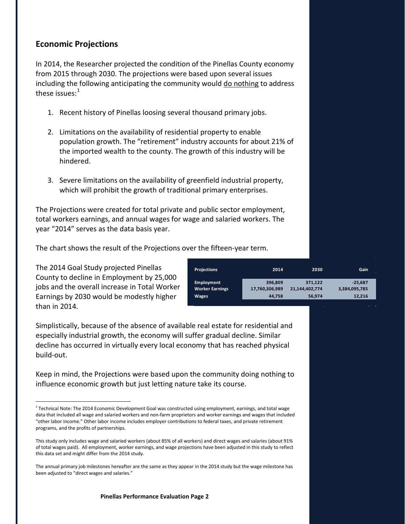### **Economic Projections**

In 2014, the Researcher projected the condition of the Pinellas County economy from 2015 through 2030. The projections were based upon several issues including the following anticipating the community would do nothing to address these issues: $1$ 

- 1. Recent history of Pinellas loosing several thousand primary jobs.
- 2. Limitations on the availability of residential property to enable population growth. The "retirement" industry accounts for about 21% of the imported wealth to the county. The growth of this industry will be hindered.
- 3. Severe limitations on the availability of greenfield industrial property, which will prohibit the growth of traditional primary enterprises.

The Projections were created for total private and public sector employment, total workers earnings, and annual wages for wage and salaried workers. The year "2014" serves as the data basis year.

The chart shows the result of the Projections over the fifteen-year term.

The 2014 Goal Study projected Pinellas County to decline in Employment by 25,000 jobs and the overall increase in Total Worker Earnings by 2030 would be modestly higher than in 2014.

| <b>Projections</b>     | 2014           | 2030           | Gain          |
|------------------------|----------------|----------------|---------------|
| Employment             | 396.809        | 371.122        | $-25.687$     |
| <b>Worker Earnings</b> | 17,760,306,989 | 21,144,402,774 | 3,384,095,785 |
| Wages                  | 44,758         | 56,974         | 12,216        |

Simplistically, because of the absence of available real estate for residential and especially industrial growth, the economy will suffer gradual decline. Similar decline has occurred in virtually every local economy that has reached physical build-out.

Keep in mind, the Projections were based upon the community doing nothing to influence economic growth but just letting nature take its course.

<span id="page-3-0"></span><sup>&</sup>lt;sup>1</sup> Technical Note: The 2014 Economic Development Goal was constructed using employment, earnings, and total wage data that included all wage and salaried workers and non-farm proprietors and worker earnings and wages that included "other labor income." Other labor income includes employer contributions to federal taxes, and private retirement programs, and the profits of partnerships.

This study only includes wage and salaried workers (about 85% of all workers) and direct wages and salaries (about 91% of total wages paid). All employment, worker earnings, and wage projections have been adjusted in this study to reflect this data set and might differ from the 2014 study.

The annual primary job milestones hereafter are the same as they appear in the 2014 study but the wage milestone has been adjusted to "direct wages and salaries."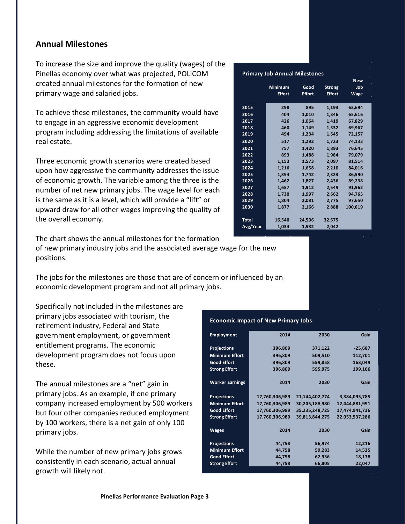#### **Annual Milestones**

To increase the size and improve the quality (wages) of the Pinellas economy over what was projected, POLICOM created annual milestones for the formation of new primary wage and salaried jobs.

To achieve these milestones, the community would have to engage in an aggressive economic development program including addressing the limitations of available real estate.

Three economic growth scenarios were created based upon how aggressive the community addresses the issue of economic growth. The variable among the three is the number of net new primary jobs. The wage level for each is the same as it is a level, which will provide a "lift" or upward draw for all other wages improving the quality of the overall economy.

| <b>Primary Job Annual Milestones</b> |                |               |               |             |  |  |  |
|--------------------------------------|----------------|---------------|---------------|-------------|--|--|--|
|                                      |                |               |               | <b>New</b>  |  |  |  |
|                                      | <b>Minimum</b> | Good          | <b>Strong</b> | Job         |  |  |  |
|                                      | <b>Effort</b>  | <b>Effort</b> | <b>Effort</b> | <b>Wage</b> |  |  |  |
|                                      |                |               |               |             |  |  |  |
| 2015                                 | 298            | 895           | 1,193         | 63,694      |  |  |  |
| 2016                                 | 404            | 1,010         | 1,346         | 65,616      |  |  |  |
| 2017                                 | 426            | 1,064         | 1.419         | 67.829      |  |  |  |
| 2018                                 | 460            | 1,149         | 1,532         | 69,967      |  |  |  |
| 2019                                 | 494            | 1,234         | 1,645         | 72,157      |  |  |  |
| 2020                                 | 517            | 1,292         | 1,723         | 74,133      |  |  |  |
| 2021                                 | 757            | 1,420         | 1,893         | 76,645      |  |  |  |
| 2022                                 | 893            | 1.488         | 1.984         | 79,079      |  |  |  |
| 2023                                 | 1,153          | 1,573         | 2,097         | 81,514      |  |  |  |
| 2024                                 | 1.216          | 1.658         | 2,210         | 84,016      |  |  |  |
| 2025                                 | 1,394          | 1,742         | 2,323         | 86,590      |  |  |  |
| 2026                                 | 1,462          | 1,827         | 2,436         | 89,238      |  |  |  |
| 2027                                 | 1,657          | 1,912         | 2,549         | 91,962      |  |  |  |
| 2028                                 | 1,730          | 1,997         | 2,662         | 94,765      |  |  |  |
| 2029                                 | 1,804          | 2,081         | 2,775         | 97,650      |  |  |  |
| 2030                                 | 1,877          | 2,166         | 2,888         | 100,619     |  |  |  |
|                                      |                |               |               |             |  |  |  |
| <b>Total</b>                         | 16,540         | 24,506        | 32,675        |             |  |  |  |
| Avg/Year                             | 1,034          | 1,532         | 2,042         |             |  |  |  |

The chart shows the annual milestones for the formation of new primary industry jobs and the associated average wage for the new positions.

The jobs for the milestones are those that are of concern or influenced by an economic development program and not all primary jobs.

Specifically not included in the milestones are primary jobs associated with tourism, the retirement industry, Federal and State government employment, or government entitlement programs. The economic development program does not focus upon these.

The annual milestones are a "net" gain in primary jobs. As an example, if one primary company increased employment by 500 workers but four other companies reduced employment by 100 workers, there is a net gain of only 100 primary jobs.

While the number of new primary jobs grows consistently in each scenario, actual annual growth will likely not.

#### **Economic Impact of New Primary Jobs**

| <b>Employment</b>      | 2014           | 2030           | Gain           |
|------------------------|----------------|----------------|----------------|
| <b>Projections</b>     | 396,809        | 371,122        | $-25,687$      |
| <b>Minimum Effort</b>  | 396,809        | 509,510        | 112,701        |
| <b>Good Effort</b>     | 396,809        | 559,858        | 163,049        |
| <b>Strong Effort</b>   | 396,809        | 595,975        | 199,166        |
| <b>Worker Earnings</b> | 2014           | 2030           | Gain           |
| <b>Projections</b>     | 17,760,306,989 | 21,144,402,774 | 3,384,095,785  |
| <b>Minimum Effort</b>  | 17,760,306,989 | 30,205,188,980 | 12,444,881,991 |
| <b>Good Effort</b>     | 17,760,306,989 | 35,235,248,725 | 17,474,941,736 |
| <b>Strong Effort</b>   | 17,760,306,989 | 39,813,844,275 | 22,053,537,286 |
| <b>Wages</b>           | 2014           | 2030           | Gain           |
| <b>Projections</b>     | 44,758         | 56,974         | 12,216         |
| <b>Minimum Effort</b>  | 44,758         | 59,283         | 14,525         |
| <b>Good Effort</b>     | 44,758         | 62,936         | 18,178         |
| <b>Strong Effort</b>   | 44,758         | 66,805         | 22,047         |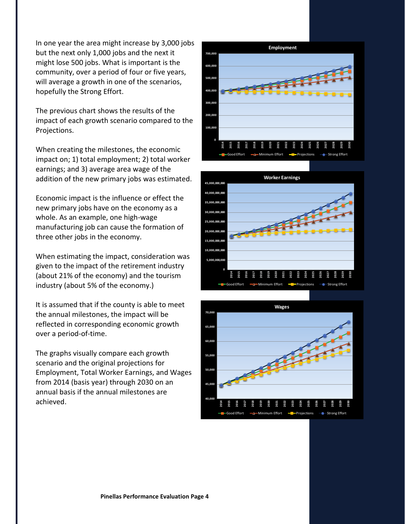In one year the area might increase by 3,000 jobs but the next only 1,000 jobs and the next it might lose 500 jobs. What is important is the community, over a period of four or five years, will average a growth in one of the scenarios, hopefully the Strong Effort.

The previous chart shows the results of the impact of each growth scenario compared to the Projections.

When creating the milestones, the economic impact on; 1) total employment; 2) total worker earnings; and 3) average area wage of the addition of the new primary jobs was estimated.

Economic impact is the influence or effect the new primary jobs have on the economy as a whole. As an example, one high-wage manufacturing job can cause the formation of three other jobs in the economy.

When estimating the impact, consideration was given to the impact of the retirement industry (about 21% of the economy) and the tourism industry (about 5% of the economy.)

It is assumed that if the county is able to meet the annual milestones, the impact will be reflected in corresponding economic growth over a period-of-time.

The graphs visually compare each growth scenario and the original projections for Employment, Total Worker Earnings, and Wages from 2014 (basis year) through 2030 on an annual basis if the annual milestones are achieved.





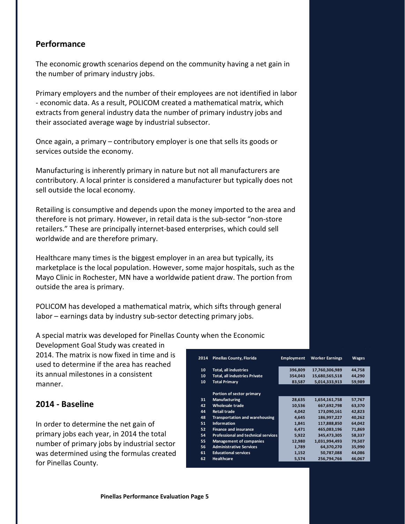#### **Performance**

The economic growth scenarios depend on the community having a net gain in the number of primary industry jobs.

Primary employers and the number of their employees are not identified in labor - economic data. As a result, POLICOM created a mathematical matrix, which extracts from general industry data the number of primary industry jobs and their associated average wage by industrial subsector.

Once again, a primary – contributory employer is one that sells its goods or services outside the economy.

Manufacturing is inherently primary in nature but not all manufacturers are contributory. A local printer is considered a manufacturer but typically does not sell outside the local economy.

Retailing is consumptive and depends upon the money imported to the area and therefore is not primary. However, in retail data is the sub-sector "non-store retailers." These are principally internet-based enterprises, which could sell worldwide and are therefore primary.

Healthcare many times is the biggest employer in an area but typically, its marketplace is the local population. However, some major hospitals, such as the Mayo Clinic in Rochester, MN have a worldwide patient draw. The portion from outside the area is primary.

POLICOM has developed a mathematical matrix, which sifts through general labor – earnings data by industry sub-sector detecting primary jobs.

A special matrix was developed for Pinellas County when the Economic

Development Goal Study was created in 2014. The matrix is now fixed in time and is used to determine if the area has reached its annual milestones in a consistent manner.

#### **2014 - Baseline**

In order to determine the net gain of primary jobs each year, in 2014 the total number of primary jobs by industrial sector was determined using the formulas created for Pinellas County.

| 2014 | <b>Pinellas County, Florida</b>            | <b>Employment</b> | <b>Worker Earnings</b> | <b>Wages</b> |
|------|--------------------------------------------|-------------------|------------------------|--------------|
| 10   | Total, all industries                      | 396,809           | 17,760,306,989         | 44,758       |
| 10   | <b>Total, all industries Private</b>       | 354,043           | 15,680,565,518         | 44,290       |
| 10   | <b>Total Primary</b>                       | 83,587            | 5,014,333,913          | 59,989       |
|      | Portion of sector primary                  |                   |                        |              |
| 31   | <b>Manufacturing</b>                       | 28,635            | 1,654,161,758          | 57,767       |
| 42   | Wholesale trade                            | 10,536            | 667,692,798            | 63,370       |
| 44   | <b>Retail trade</b>                        | 4,042             | 173,090,161            | 42,823       |
| 48   | <b>Transportation and warehousing</b>      | 4,645             | 186,997,227            | 40,262       |
| 51   | <b>Information</b>                         | 1,841             | 117,888,850            | 64,042       |
| 52   | <b>Finance and insurance</b>               | 6,471             | 465.083.196            | 71,869       |
| 54   | <b>Professional and technical services</b> | 5,922             | 345.473.305            | 58,337       |
| 55   | <b>Management of companies</b>             | 12,980            | 1,031,994,493          | 79,507       |
| 56   | <b>Administrative Services</b>             | 1,789             | 64,370,270             | 35,990       |
| 61   | <b>Educational services</b>                | 1,152             | 50,787,088             | 44,086       |
| 62   | <b>Healthcare</b>                          | 5,574             | 256,794,766            | 46,067       |
|      |                                            |                   |                        |              |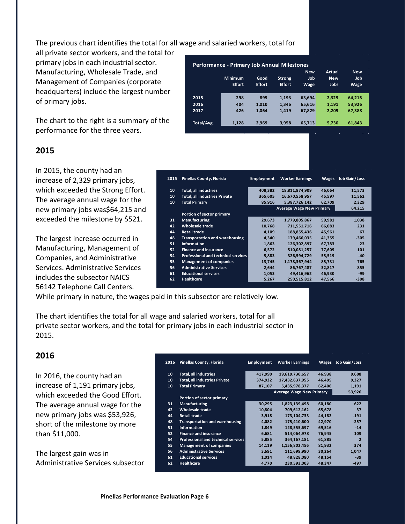The previous chart identifies the total for all wage and salaried workers, total for

all private sector workers, and the total for primary jobs in each industrial sector. Manufacturing, Wholesale Trade, and Management of Companies (corporate headquarters) include the largest number of primary jobs.

The chart to the right is a summary of the performance for the three years.

#### **2015**

In 2015, the county had an increase of 2,329 primary jobs, which exceeded the Strong Effort. The average annual wage for the new primary jobs was\$64,215 and exceeded the milestone by \$521.

The largest increase occurred in Manufacturing, Management of Companies, and Administrative Services. Administrative Services includes the subsector NAICS 56142 Telephone Call Centers.

| <b>Performance - Primary Job Annual Milestones</b> |                |               |               |            |               |                  |
|----------------------------------------------------|----------------|---------------|---------------|------------|---------------|------------------|
|                                                    |                |               |               | <b>New</b> | <b>Actual</b> | ÷.<br><b>New</b> |
|                                                    | <b>Minimum</b> | Good          | <b>Strong</b> | Job        | <b>New</b>    | Job              |
|                                                    | <b>Effort</b>  | <b>Effort</b> | <b>Effort</b> | Wage       | <b>Jobs</b>   | <b>Wage</b>      |
|                                                    |                |               |               |            |               |                  |
| 2015                                               | 298            | 895           | 1.193         | 63.694     | 2.329         | 64,215           |
| 2016                                               | 404            | 1.010         | 1,346         | 65.616     | 1,191         | 53,926           |
| 2017                                               | 426            | 1.064         | 1,419         | 67.829     | 2,209         | 67,388           |
|                                                    |                |               |               |            |               |                  |
| Total/Avg.                                         | 1.128          | 2.969         | 3,958         | 65.713     | 5.730         | 61.843           |

| 2015 | <b>Pinellas County, Florida</b>            | <b>Employment</b> | <b>Worker Earnings</b>          | <b>Wages</b> | Job Gain/Loss |
|------|--------------------------------------------|-------------------|---------------------------------|--------------|---------------|
| 10   | <b>Total, all industries</b>               | 408.382           | 18,811,874,909                  | 46.064       | 11,573        |
| 10   | <b>Total, all industries Private</b>       | 365,605           | 16,670,558,957                  | 45.597       | 11,562        |
| 10   | <b>Total Primary</b>                       | 85,916            | 5,387,726,142                   | 62,709       | 2,329         |
|      |                                            |                   | <b>Average Wage New Primary</b> |              | 64,215        |
|      | Portion of sector primary                  |                   |                                 |              |               |
| 31   | <b>Manufacturing</b>                       | 29.673            | 1,779,805,867                   | 59.981       | 1.038         |
| 42   | <b>Wholesale trade</b>                     | 10.768            | 711.551.716                     | 66.083       | 231           |
| 44   | <b>Retail trade</b>                        | 4.109             | 188.855.436                     | 45.961       | 67            |
| 48   | <b>Transportation and warehousing</b>      | 4,340             | 179.466.035                     | 41.355       | $-305$        |
| 51   | <b>Information</b>                         | 1.863             | 126.302.897                     | 67.783       | 23            |
| 52   | <b>Finance and insurance</b>               | 6,572             | 510,081,257                     | 77.609       | 101           |
| 54   | <b>Professional and technical services</b> | 5.883             | 326,594,729                     | 55,519       | $-40$         |
| 55   | <b>Management of companies</b>             | 13,745            | 1,178,367,944                   | 85,731       | 765           |
| 56   | <b>Administrative Services</b>             | 2.644             | 86.767.487                      | 32.817       | 855           |
| 61   | <b>Educational services</b>                | 1,053             | 49,416,962                      | 46.930       | $-99$         |
| 62   | <b>Healthcare</b>                          | 5,267             | 250,515,812                     | 47.566       | $-308$        |

While primary in nature, the wages paid in this subsector are relatively low.

The chart identifies the total for all wage and salaried workers, total for all private sector workers, and the total for primary jobs in each industrial sector in 2015.

#### **2016**

In 2016, the county had an increase of 1,191 primary jobs, which exceeded the Good Effort. The average annual wage for the new primary jobs was \$53,926, short of the milestone by more than \$11,000.

The largest gain was in Administrative Services subsector

| 2016 | <b>Pinellas County, Florida</b>            | <b>Employment</b> | <b>Worker Earnings</b>          | Wages  | <b>Job Gain/Loss</b>     |
|------|--------------------------------------------|-------------------|---------------------------------|--------|--------------------------|
| 10   | <b>Total, all industries</b>               | 417,990           | 19,619,730,657                  | 46,938 | 9,608                    |
| 10   | <b>Total, all industries Private</b>       | 374,932           | 17,432,637,955                  | 46,495 | 9,327                    |
| 10   | <b>Total Primary</b>                       | 87,107            | 5,435,978,377                   | 62,406 | 1,191                    |
|      |                                            |                   | <b>Average Wage New Primary</b> |        | 53,926                   |
|      | Portion of sector primary                  |                   |                                 |        |                          |
| 31   | <b>Manufacturing</b>                       | 30,295            | 1,823,139,498                   | 60,180 | 622                      |
| 42   | Wholesale trade                            | 10,804            | 709,612,162                     | 65,678 | 37                       |
| 44   | <b>Retail trade</b>                        | 3,918             | 173,104,733                     | 44.182 | $-191$                   |
| 48   | <b>Transportation and warehousing</b>      | 4,082             | 175,410,600                     | 42,970 | $-257$                   |
| 51   | <b>Information</b>                         | 1,849             | 128.555.697                     | 69.516 | $-14$                    |
| 52   | <b>Finance and insurance</b>               | 6,681             | 514,064,978                     | 76,945 | 109                      |
| 54   | <b>Professional and technical services</b> | 5,885             | 364,167,181                     | 61,885 | $\overline{\phantom{a}}$ |
| 55   | <b>Management of companies</b>             | 14,119            | 1,156,802,456                   | 81,932 | 374                      |
| 56   | <b>Administrative Services</b>             | 3,691             | 111.699.990                     | 30.264 | 1,047                    |
| 61   | <b>Educational services</b>                | 1,014             | 48,828,080                      | 48,154 | $-39$                    |
| 62   | <b>Healthcare</b>                          | 4.770             | 230.593.003                     | 48.347 | $-497$                   |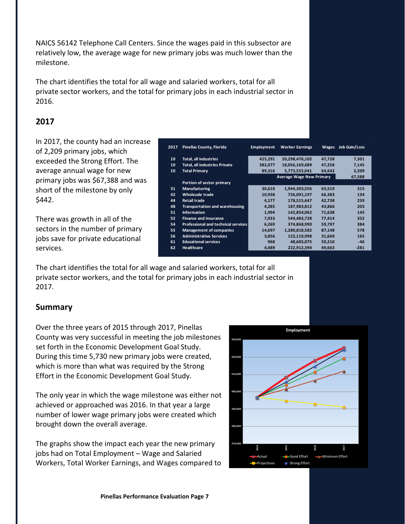NAICS 56142 Telephone Call Centers. Since the wages paid in this subsector are relatively low, the average wage for new primary jobs was much lower than the milestone.

The chart identifies the total for all wage and salaried workers, total for all private sector workers, and the total for primary jobs in each industrial sector in 2016.

#### **2017**

In 2017, the county had an increase of 2,209 primary jobs, which exceeded the Strong Effort. The average annual wage for new primary jobs was \$67,388 and was short of the milestone by only \$442.

There was growth in all of the sectors in the number of primary jobs save for private educational services.

| 10 | <b>Total, all industries</b>               | 425,291 | 20,298,476,102                  | 47,728 | 7,301  |
|----|--------------------------------------------|---------|---------------------------------|--------|--------|
| 10 | <b>Total, all industries Private</b>       | 382.077 | 18,056,169,689                  | 47.258 | 7,145  |
| 10 | <b>Total Primary</b>                       | 89,316  | 5,773,555,041                   | 64.642 | 2,209  |
|    |                                            |         | <b>Average Wage New Primary</b> |        | 67,388 |
|    | Portion of sector primary                  |         |                                 |        |        |
| 31 | <b>Manufacturing</b>                       | 30,610  | 1,944,303,556                   | 63,519 | 315    |
| 42 | <b>Wholesale trade</b>                     | 10,938  | 726,091,197                     | 66,383 | 134    |
| 44 | <b>Retail trade</b>                        | 4.177   | 178.515.647                     | 42.738 | 259    |
| 48 | <b>Transportation and warehousing</b>      | 4.285   | 187.983.812                     | 43.866 | 203    |
| 51 | <b>Information</b>                         | 1,994   | 142.854.062                     | 71.638 | 145    |
| 52 | <b>Finance and insurance</b>               | 7.033   | 544.483.728                     | 77.414 | 352    |
| 54 | <b>Professional and technical services</b> | 6.269   | 374.868.990                     | 59.797 | 384    |
| 55 | Management of companies                    | 14,697  | 1,280,818,582                   | 87.148 | 578    |
| 56 | <b>Administrative Services</b>             | 3,856   | 122,119,998                     | 31,669 | 165    |
| 61 | <b>Educational services</b>                | 968     | 48.603.075                      | 50.210 | $-46$  |
| 62 | <b>Healthcare</b>                          | 4.489   | 222,912,394                     | 49.663 | $-281$ |

**2017 Pinellas County, Florida Employment Worker Earnings Wages Job Gain/Loss**

The chart identifies the total for all wage and salaried workers, total for all private sector workers, and the total for primary jobs in each industrial sector in 2017.

#### **Summary**

Over the three years of 2015 through 2017, Pinellas County was very successful in meeting the job milestones set forth in the Economic Development Goal Study. During this time 5,730 new primary jobs were created, which is more than what was required by the Strong Effort in the Economic Development Goal Study.

The only year in which the wage milestone was either not achieved or approached was 2016. In that year a large number of lower wage primary jobs were created which brought down the overall average.

The graphs show the impact each year the new primary jobs had on Total Employment – Wage and Salaried Workers, Total Worker Earnings, and Wages compared to